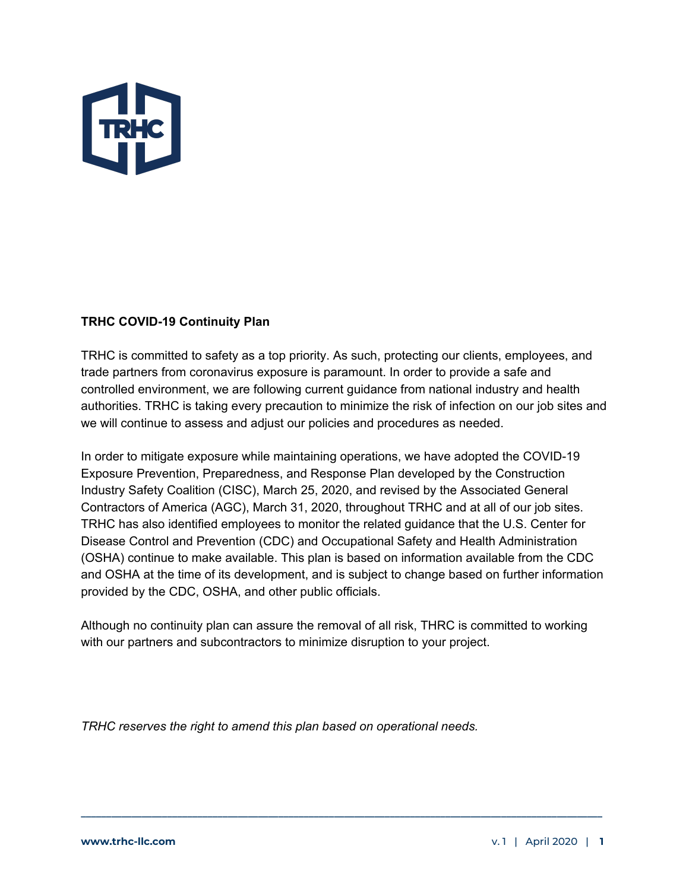

# **TRHC COVID-19 Continuity Plan**

TRHC is committed to safety as a top priority. As such, protecting our clients, employees, and trade partners from coronavirus exposure is paramount. In order to provide a safe and controlled environment, we are following current guidance from national industry and health authorities. TRHC is taking every precaution to minimize the risk of infection on our job sites and we will continue to assess and adjust our policies and procedures as needed.

In order to mitigate exposure while maintaining operations, we have adopted the COVID-19 Exposure Prevention, Preparedness, and Response Plan developed by the Construction Industry Safety Coalition (CISC), March 25, 2020, and revised by the Associated General Contractors of America (AGC), March 31, 2020, throughout TRHC and at all of our job sites. TRHC has also identified employees to monitor the related guidance that the U.S. Center for Disease Control and Prevention (CDC) and Occupational Safety and Health Administration (OSHA) continue to make available. This plan is based on information available from the CDC and OSHA at the time of its development, and is subject to change based on further information provided by the CDC, OSHA, and other public officials.

Although no continuity plan can assure the removal of all risk, THRC is committed to working with our partners and subcontractors to minimize disruption to your project.

**\_\_\_\_\_\_\_\_\_\_\_\_\_\_\_\_\_\_\_\_\_\_\_\_\_\_\_\_\_\_\_\_\_\_\_\_\_\_\_\_\_\_\_\_\_\_\_\_\_\_\_\_\_\_\_\_\_\_\_\_\_\_\_\_\_\_\_\_\_\_\_\_\_\_\_\_\_\_\_\_\_\_\_\_\_\_\_\_\_\_\_\_\_\_\_\_\_\_\_\_\_\_\_**

*TRHC reserves the right to amend this plan based on operational needs.*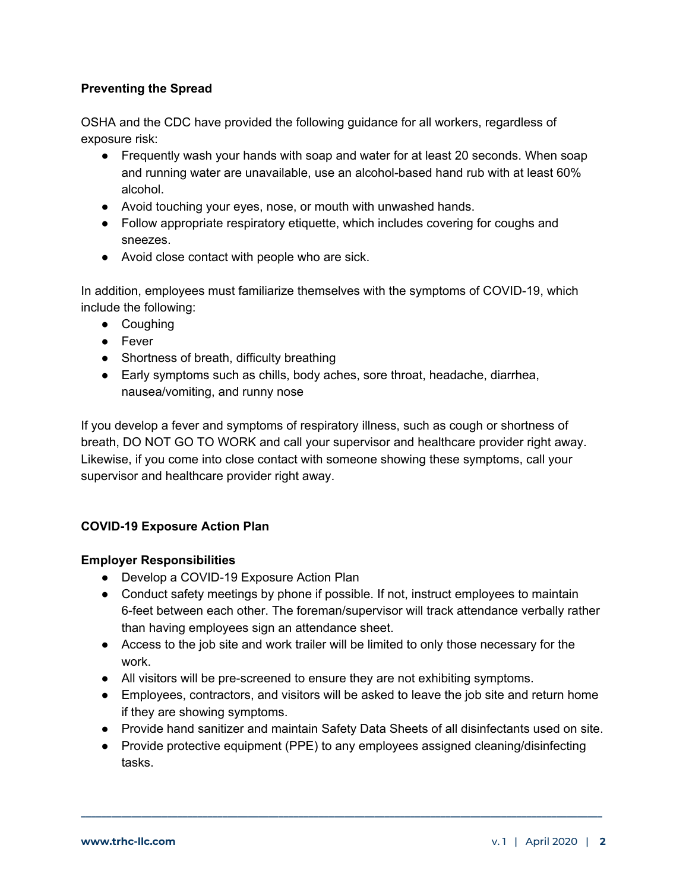## **Preventing the Spread**

OSHA and the CDC have provided the following guidance for all workers, regardless of exposure risk:

- Frequently wash your hands with soap and water for at least 20 seconds. When soap and running water are unavailable, use an alcohol-based hand rub with at least 60% alcohol.
- Avoid touching your eyes, nose, or mouth with unwashed hands.
- Follow appropriate respiratory etiquette, which includes covering for coughs and sneezes.
- Avoid close contact with people who are sick.

In addition, employees must familiarize themselves with the symptoms of COVID-19, which include the following:

- Coughing
- Fever
- Shortness of breath, difficulty breathing
- Early symptoms such as chills, body aches, sore throat, headache, diarrhea, nausea/vomiting, and runny nose

If you develop a fever and symptoms of respiratory illness, such as cough or shortness of breath, DO NOT GO TO WORK and call your supervisor and healthcare provider right away. Likewise, if you come into close contact with someone showing these symptoms, call your supervisor and healthcare provider right away.

#### **COVID-19 Exposure Action Plan**

#### **Employer Responsibilities**

- Develop a COVID-19 Exposure Action Plan
- Conduct safety meetings by phone if possible. If not, instruct employees to maintain 6-feet between each other. The foreman/supervisor will track attendance verbally rather than having employees sign an attendance sheet.
- Access to the job site and work trailer will be limited to only those necessary for the work.
- All visitors will be pre-screened to ensure they are not exhibiting symptoms.
- Employees, contractors, and visitors will be asked to leave the job site and return home if they are showing symptoms.
- Provide hand sanitizer and maintain Safety Data Sheets of all disinfectants used on site.
- Provide protective equipment (PPE) to any employees assigned cleaning/disinfecting tasks.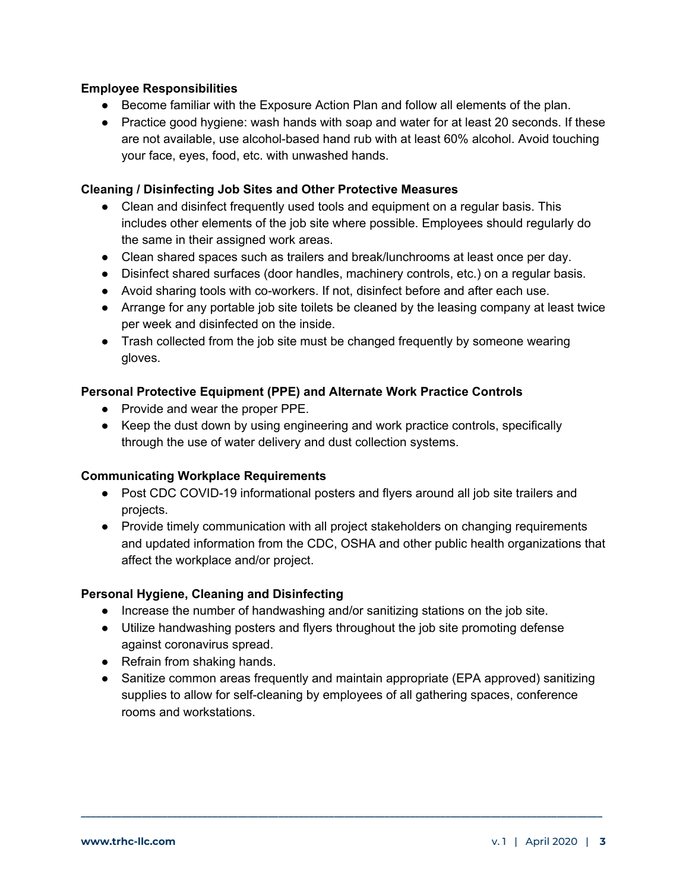### **Employee Responsibilities**

- Become familiar with the Exposure Action Plan and follow all elements of the plan.
- Practice good hygiene: wash hands with soap and water for at least 20 seconds. If these are not available, use alcohol-based hand rub with at least 60% alcohol. Avoid touching your face, eyes, food, etc. with unwashed hands.

### **Cleaning / Disinfecting Job Sites and Other Protective Measures**

- Clean and disinfect frequently used tools and equipment on a regular basis. This includes other elements of the job site where possible. Employees should regularly do the same in their assigned work areas.
- Clean shared spaces such as trailers and break/lunchrooms at least once per day.
- Disinfect shared surfaces (door handles, machinery controls, etc.) on a regular basis.
- Avoid sharing tools with co-workers. If not, disinfect before and after each use.
- Arrange for any portable job site toilets be cleaned by the leasing company at least twice per week and disinfected on the inside.
- Trash collected from the job site must be changed frequently by someone wearing gloves.

## **Personal Protective Equipment (PPE) and Alternate Work Practice Controls**

- Provide and wear the proper PPE.
- Keep the dust down by using engineering and work practice controls, specifically through the use of water delivery and dust collection systems.

#### **Communicating Workplace Requirements**

- Post CDC COVID-19 informational posters and flyers around all job site trailers and projects.
- Provide timely communication with all project stakeholders on changing requirements and updated information from the CDC, OSHA and other public health organizations that affect the workplace and/or project.

#### **Personal Hygiene, Cleaning and Disinfecting**

- Increase the number of handwashing and/or sanitizing stations on the job site.
- Utilize handwashing posters and flyers throughout the job site promoting defense against coronavirus spread.
- Refrain from shaking hands.
- Sanitize common areas frequently and maintain appropriate (EPA approved) sanitizing supplies to allow for self-cleaning by employees of all gathering spaces, conference rooms and workstations.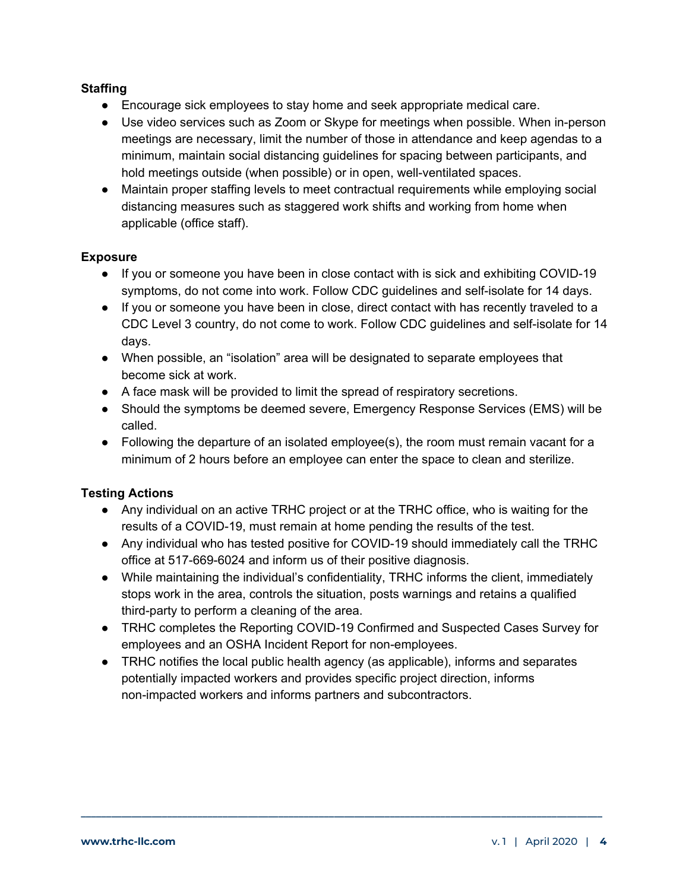## **Staffing**

- Encourage sick employees to stay home and seek appropriate medical care.
- Use video services such as Zoom or Skype for meetings when possible. When in-person meetings are necessary, limit the number of those in attendance and keep agendas to a minimum, maintain social distancing guidelines for spacing between participants, and hold meetings outside (when possible) or in open, well-ventilated spaces.
- Maintain proper staffing levels to meet contractual requirements while employing social distancing measures such as staggered work shifts and working from home when applicable (office staff).

## **Exposure**

- If you or someone you have been in close contact with is sick and exhibiting COVID-19 symptoms, do not come into work. Follow CDC guidelines and self-isolate for 14 days.
- If you or someone you have been in close, direct contact with has recently traveled to a CDC Level 3 country, do not come to work. Follow CDC guidelines and self-isolate for 14 days.
- When possible, an "isolation" area will be designated to separate employees that become sick at work.
- A face mask will be provided to limit the spread of respiratory secretions.
- Should the symptoms be deemed severe, Emergency Response Services (EMS) will be called.
- $\bullet$  Following the departure of an isolated employee(s), the room must remain vacant for a minimum of 2 hours before an employee can enter the space to clean and sterilize.

# **Testing Actions**

- Any individual on an active TRHC project or at the TRHC office, who is waiting for the results of a COVID-19, must remain at home pending the results of the test.
- Any individual who has tested positive for COVID-19 should immediately call the TRHC office at 517-669-6024 and inform us of their positive diagnosis.
- While maintaining the individual's confidentiality, TRHC informs the client, immediately stops work in the area, controls the situation, posts warnings and retains a qualified third-party to perform a cleaning of the area.
- TRHC completes the Reporting COVID-19 Confirmed and Suspected Cases Survey for employees and an OSHA Incident Report for non-employees.
- TRHC notifies the local public health agency (as applicable), informs and separates potentially impacted workers and provides specific project direction, informs non-impacted workers and informs partners and subcontractors.